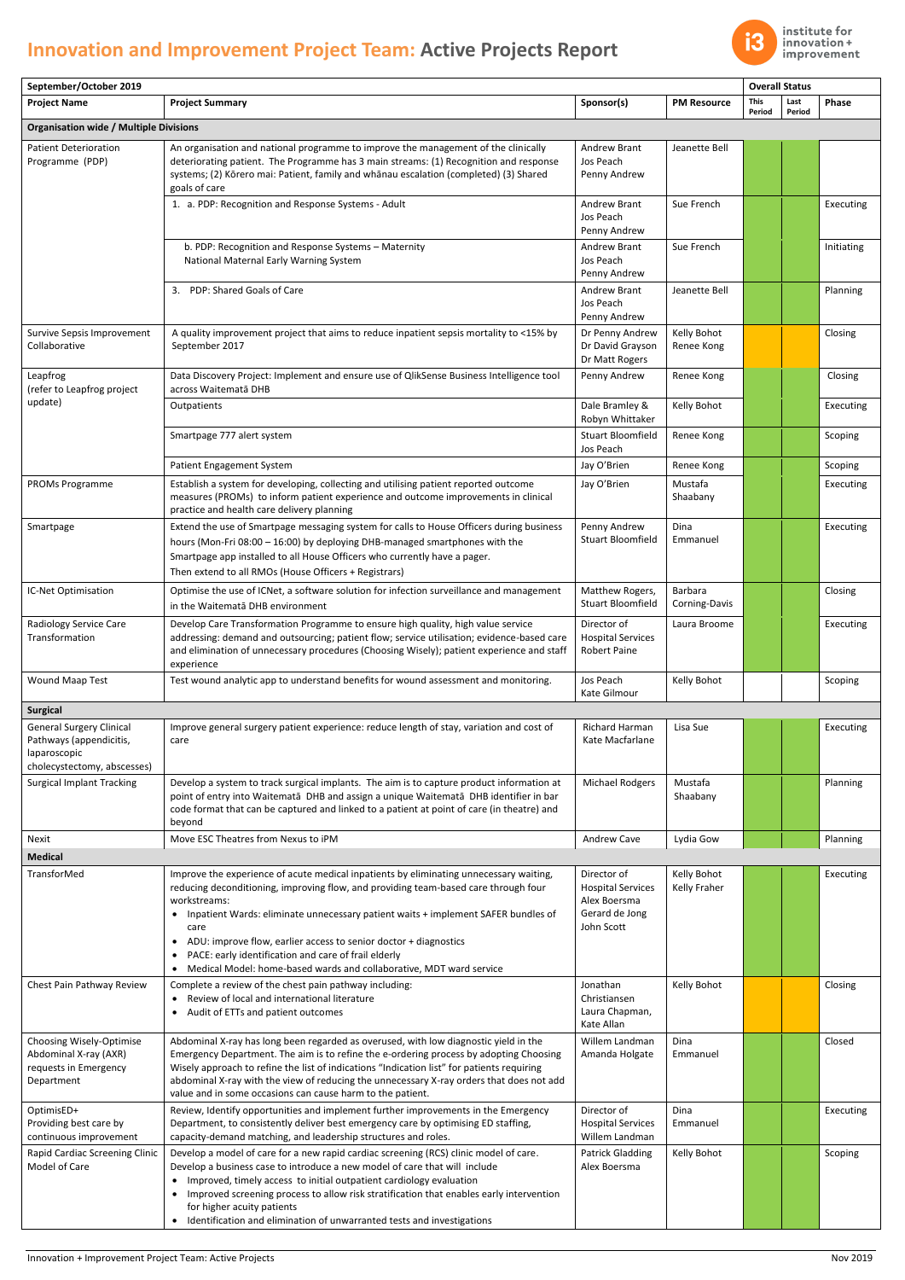## **Innovation and Improvement Project Team: Active Projects Report**



| September/October 2019                                                                                    |                                                                                                                                                                                                                                                                                                                                                                                                                                                         |                                                                          |                           |  |                |            |  |  |  |
|-----------------------------------------------------------------------------------------------------------|---------------------------------------------------------------------------------------------------------------------------------------------------------------------------------------------------------------------------------------------------------------------------------------------------------------------------------------------------------------------------------------------------------------------------------------------------------|--------------------------------------------------------------------------|---------------------------|--|----------------|------------|--|--|--|
| <b>Project Name</b>                                                                                       | Sponsor(s)<br><b>PM Resource</b><br><b>Project Summary</b>                                                                                                                                                                                                                                                                                                                                                                                              |                                                                          |                           |  | Last<br>Period | Phase      |  |  |  |
| Period<br><b>Organisation wide / Multiple Divisions</b>                                                   |                                                                                                                                                                                                                                                                                                                                                                                                                                                         |                                                                          |                           |  |                |            |  |  |  |
| <b>Patient Deterioration</b><br>Programme (PDP)                                                           | An organisation and national programme to improve the management of the clinically<br>deteriorating patient. The Programme has 3 main streams: (1) Recognition and response<br>systems; (2) Körero mai: Patient, family and whānau escalation (completed) (3) Shared<br>goals of care                                                                                                                                                                   | Andrew Brant<br>Jos Peach<br>Penny Andrew                                | Jeanette Bell             |  |                |            |  |  |  |
|                                                                                                           | 1. a. PDP: Recognition and Response Systems - Adult                                                                                                                                                                                                                                                                                                                                                                                                     | Andrew Brant<br>Jos Peach<br>Penny Andrew                                | Sue French                |  |                | Executing  |  |  |  |
|                                                                                                           | b. PDP: Recognition and Response Systems - Maternity<br>National Maternal Early Warning System                                                                                                                                                                                                                                                                                                                                                          | Andrew Brant<br>Jos Peach<br>Penny Andrew                                | Sue French                |  |                | Initiating |  |  |  |
|                                                                                                           | PDP: Shared Goals of Care<br>3.                                                                                                                                                                                                                                                                                                                                                                                                                         | <b>Andrew Brant</b><br>Jos Peach<br>Penny Andrew                         | Jeanette Bell             |  |                | Planning   |  |  |  |
| Survive Sepsis Improvement<br>Collaborative                                                               | A quality improvement project that aims to reduce inpatient sepsis mortality to <15% by<br>September 2017                                                                                                                                                                                                                                                                                                                                               | Dr Penny Andrew<br>Dr David Grayson<br>Dr Matt Rogers                    | Kelly Bohot<br>Renee Kong |  |                | Closing    |  |  |  |
| Leapfrog<br>(refer to Leapfrog project                                                                    | Data Discovery Project: Implement and ensure use of QlikSense Business Intelligence tool<br>across Waitemata DHB                                                                                                                                                                                                                                                                                                                                        | Penny Andrew                                                             | Renee Kong                |  |                | Closing    |  |  |  |
| update)                                                                                                   | Outpatients                                                                                                                                                                                                                                                                                                                                                                                                                                             | Dale Bramley &<br>Robyn Whittaker                                        | Kelly Bohot               |  |                | Executing  |  |  |  |
|                                                                                                           | Smartpage 777 alert system                                                                                                                                                                                                                                                                                                                                                                                                                              | <b>Stuart Bloomfield</b><br>Jos Peach                                    | Renee Kong                |  |                | Scoping    |  |  |  |
|                                                                                                           | Patient Engagement System                                                                                                                                                                                                                                                                                                                                                                                                                               | Jay O'Brien                                                              | Renee Kong                |  |                | Scoping    |  |  |  |
| PROMs Programme                                                                                           | Establish a system for developing, collecting and utilising patient reported outcome<br>measures (PROMs) to inform patient experience and outcome improvements in clinical<br>practice and health care delivery planning                                                                                                                                                                                                                                | Jay O'Brien                                                              | Mustafa<br>Shaabany       |  |                | Executing  |  |  |  |
| Smartpage                                                                                                 | Extend the use of Smartpage messaging system for calls to House Officers during business<br>hours (Mon-Fri 08:00 - 16:00) by deploying DHB-managed smartphones with the<br>Smartpage app installed to all House Officers who currently have a pager.<br>Then extend to all RMOs (House Officers + Registrars)                                                                                                                                           | Penny Andrew<br><b>Stuart Bloomfield</b>                                 | Dina<br>Emmanuel          |  |                | Executing  |  |  |  |
| IC-Net Optimisation                                                                                       | Optimise the use of ICNet, a software solution for infection surveillance and management<br>in the Waitemata DHB environment                                                                                                                                                                                                                                                                                                                            | Matthew Rogers,<br>Stuart Bloomfield                                     | Barbara<br>Corning-Davis  |  |                | Closing    |  |  |  |
| <b>Radiology Service Care</b><br>Transformation                                                           | Develop Care Transformation Programme to ensure high quality, high value service<br>addressing: demand and outsourcing; patient flow; service utilisation; evidence-based care<br>and elimination of unnecessary procedures (Choosing Wisely); patient experience and staff<br>experience                                                                                                                                                               | Director of<br><b>Hospital Services</b><br><b>Robert Paine</b>           | Laura Broome              |  |                | Executing  |  |  |  |
| Wound Maap Test                                                                                           | Test wound analytic app to understand benefits for wound assessment and monitoring.                                                                                                                                                                                                                                                                                                                                                                     | Jos Peach<br>Kate Gilmour                                                | Kelly Bohot               |  |                | Scoping    |  |  |  |
| <b>Surgical</b>                                                                                           |                                                                                                                                                                                                                                                                                                                                                                                                                                                         |                                                                          |                           |  |                |            |  |  |  |
| <b>General Surgery Clinical</b><br>Pathways (appendicitis,<br>laparoscopic<br>cholecystectomy, abscesses) | Improve general surgery patient experience: reduce length of stay, variation and cost of<br>care                                                                                                                                                                                                                                                                                                                                                        | <b>Richard Harman</b><br>Kate Macfarlane                                 | Lisa Sue                  |  |                | Executing  |  |  |  |
| <b>Surgical Implant Tracking</b>                                                                          | Develop a system to track surgical implants. The aim is to capture product information at<br>point of entry into Waitemata DHB and assign a unique Waitemata DHB identifier in bar<br>code format that can be captured and linked to a patient at point of care (in theatre) and<br>beyond                                                                                                                                                              | <b>Michael Rodgers</b>                                                   | Mustafa<br>Shaabany       |  |                | Planning   |  |  |  |
| Nexit                                                                                                     | Move ESC Theatres from Nexus to iPM                                                                                                                                                                                                                                                                                                                                                                                                                     | <b>Andrew Cave</b>                                                       | Lydia Gow                 |  |                | Planning   |  |  |  |
| <b>Medical</b><br>TransforMed                                                                             | Improve the experience of acute medical inpatients by eliminating unnecessary waiting,                                                                                                                                                                                                                                                                                                                                                                  | Director of                                                              | Kelly Bohot               |  |                | Executing  |  |  |  |
|                                                                                                           | reducing deconditioning, improving flow, and providing team-based care through four<br>workstreams:<br>Inpatient Wards: eliminate unnecessary patient waits + implement SAFER bundles of<br>care<br>ADU: improve flow, earlier access to senior doctor + diagnostics<br>$\bullet$<br>PACE: early identification and care of frail elderly<br>$\bullet$<br>Medical Model: home-based wards and collaborative, MDT ward service<br>$\bullet$              | <b>Hospital Services</b><br>Alex Boersma<br>Gerard de Jong<br>John Scott | <b>Kelly Fraher</b>       |  |                |            |  |  |  |
| Chest Pain Pathway Review                                                                                 | Complete a review of the chest pain pathway including:<br>Review of local and international literature<br>Audit of ETTs and patient outcomes<br>$\bullet$                                                                                                                                                                                                                                                                                               | Jonathan<br>Christiansen<br>Laura Chapman,<br>Kate Allan                 | Kelly Bohot               |  |                | Closing    |  |  |  |
| Choosing Wisely-Optimise<br>Abdominal X-ray (AXR)<br>requests in Emergency<br>Department                  | Abdominal X-ray has long been regarded as overused, with low diagnostic yield in the<br>Emergency Department. The aim is to refine the e-ordering process by adopting Choosing<br>Wisely approach to refine the list of indications "Indication list" for patients requiring<br>abdominal X-ray with the view of reducing the unnecessary X-ray orders that does not add<br>value and in some occasions can cause harm to the patient.                  | Willem Landman<br>Amanda Holgate                                         | Dina<br>Emmanuel          |  |                | Closed     |  |  |  |
| OptimisED+<br>Providing best care by<br>continuous improvement                                            | Review, Identify opportunities and implement further improvements in the Emergency<br>Department, to consistently deliver best emergency care by optimising ED staffing,<br>capacity-demand matching, and leadership structures and roles.                                                                                                                                                                                                              | Director of<br><b>Hospital Services</b><br>Willem Landman                | Dina<br>Emmanuel          |  |                | Executing  |  |  |  |
| Rapid Cardiac Screening Clinic<br>Model of Care                                                           | Develop a model of care for a new rapid cardiac screening (RCS) clinic model of care.<br>Kelly Bohot<br><b>Patrick Gladding</b><br>Develop a business case to introduce a new model of care that will include<br>Alex Boersma<br>Improved, timely access to initial outpatient cardiology evaluation<br>$\bullet$<br>Improved screening process to allow risk stratification that enables early intervention<br>$\bullet$<br>for higher acuity patients |                                                                          |                           |  | Scoping        |            |  |  |  |
| Identification and elimination of unwarranted tests and investigations                                    |                                                                                                                                                                                                                                                                                                                                                                                                                                                         |                                                                          |                           |  |                |            |  |  |  |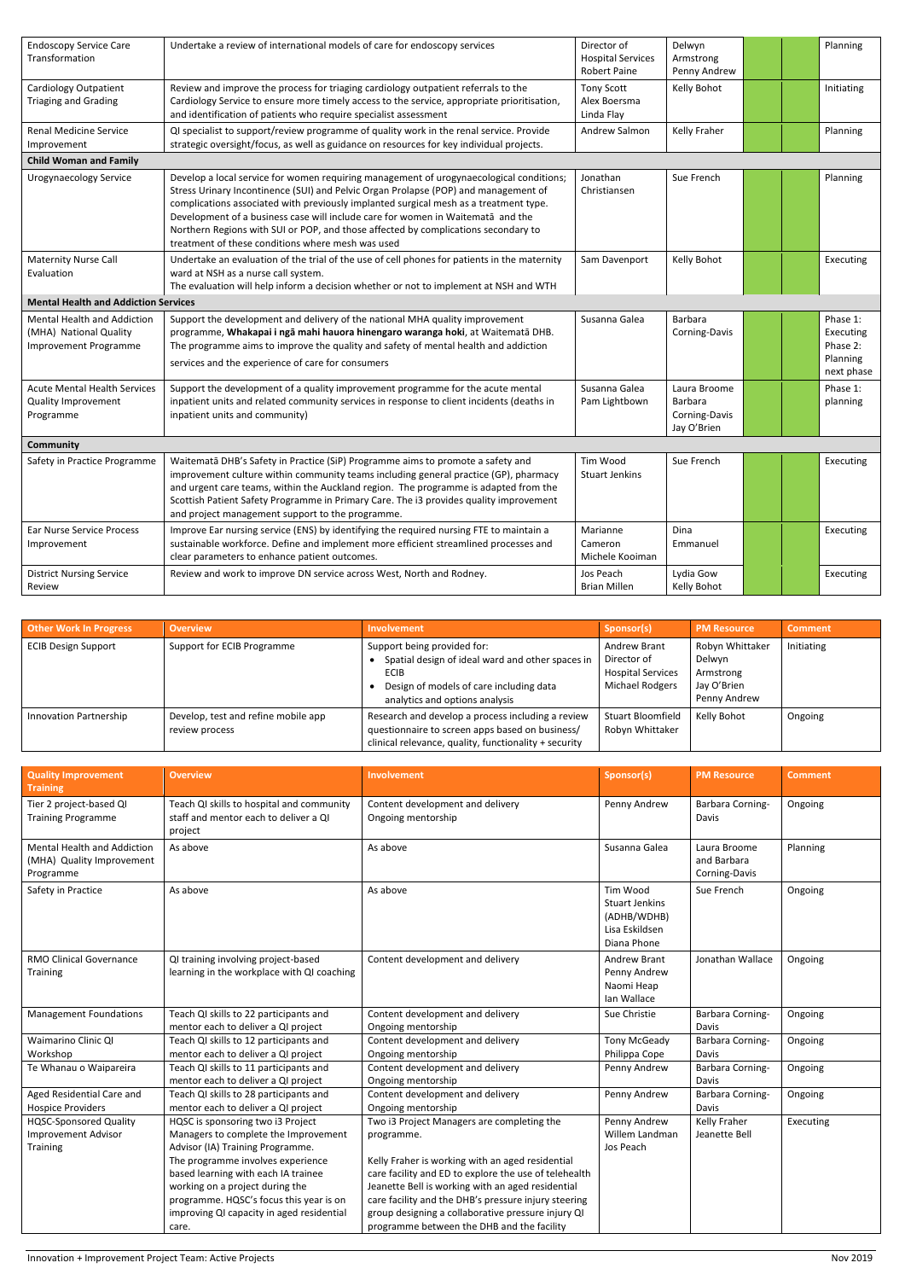| <b>Endoscopy Service Care</b><br>Transformation                                       | Undertake a review of international models of care for endoscopy services                                                                                                                                                                                                                                                                                                                                                                                                                             | Director of<br><b>Hospital Services</b><br>Robert Paine | Delwyn<br>Armstrong<br>Penny Andrew                     | Planning                                                    |
|---------------------------------------------------------------------------------------|-------------------------------------------------------------------------------------------------------------------------------------------------------------------------------------------------------------------------------------------------------------------------------------------------------------------------------------------------------------------------------------------------------------------------------------------------------------------------------------------------------|---------------------------------------------------------|---------------------------------------------------------|-------------------------------------------------------------|
| <b>Cardiology Outpatient</b><br><b>Triaging and Grading</b>                           | Review and improve the process for triaging cardiology outpatient referrals to the<br>Cardiology Service to ensure more timely access to the service, appropriate prioritisation,<br>and identification of patients who require specialist assessment                                                                                                                                                                                                                                                 | <b>Tony Scott</b><br>Alex Boersma<br>Linda Flay         | Kelly Bohot                                             | Initiating                                                  |
| <b>Renal Medicine Service</b><br>Improvement                                          | QI specialist to support/review programme of quality work in the renal service. Provide<br>strategic oversight/focus, as well as guidance on resources for key individual projects.                                                                                                                                                                                                                                                                                                                   | Andrew Salmon                                           | <b>Kelly Fraher</b>                                     | Planning                                                    |
| <b>Child Woman and Family</b>                                                         |                                                                                                                                                                                                                                                                                                                                                                                                                                                                                                       |                                                         |                                                         |                                                             |
| <b>Urogynaecology Service</b>                                                         | Develop a local service for women requiring management of urogynaecological conditions;<br>Stress Urinary Incontinence (SUI) and Pelvic Organ Prolapse (POP) and management of<br>complications associated with previously implanted surgical mesh as a treatment type.<br>Development of a business case will include care for women in Waitemata and the<br>Northern Regions with SUI or POP, and those affected by complications secondary to<br>treatment of these conditions where mesh was used | Jonathan<br>Christiansen                                | Sue French                                              | Planning                                                    |
| <b>Maternity Nurse Call</b><br>Evaluation                                             | Undertake an evaluation of the trial of the use of cell phones for patients in the maternity<br>ward at NSH as a nurse call system.<br>The evaluation will help inform a decision whether or not to implement at NSH and WTH                                                                                                                                                                                                                                                                          | Sam Davenport                                           | Kelly Bohot                                             | Executing                                                   |
| <b>Mental Health and Addiction Services</b>                                           |                                                                                                                                                                                                                                                                                                                                                                                                                                                                                                       |                                                         |                                                         |                                                             |
| <b>Mental Health and Addiction</b><br>(MHA) National Quality<br>Improvement Programme | Support the development and delivery of the national MHA quality improvement<br>programme, Whakapai i ngā mahi hauora hinengaro waranga hoki, at Waitematā DHB.<br>The programme aims to improve the quality and safety of mental health and addiction<br>services and the experience of care for consumers                                                                                                                                                                                           | Susanna Galea                                           | <b>Barbara</b><br>Corning-Davis                         | Phase 1:<br>Executing<br>Phase 2:<br>Planning<br>next phase |
| <b>Acute Mental Health Services</b><br><b>Quality Improvement</b><br>Programme        | Support the development of a quality improvement programme for the acute mental<br>inpatient units and related community services in response to client incidents (deaths in<br>inpatient units and community)                                                                                                                                                                                                                                                                                        | Susanna Galea<br>Pam Lightbown                          | Laura Broome<br>Barbara<br>Corning-Davis<br>Jay O'Brien | Phase 1:<br>planning                                        |
| Community                                                                             |                                                                                                                                                                                                                                                                                                                                                                                                                                                                                                       |                                                         |                                                         |                                                             |
| Safety in Practice Programme                                                          | Waitemata DHB's Safety in Practice (SiP) Programme aims to promote a safety and<br>improvement culture within community teams including general practice (GP), pharmacy<br>and urgent care teams, within the Auckland region. The programme is adapted from the<br>Scottish Patient Safety Programme in Primary Care. The i3 provides quality improvement<br>and project management support to the programme.                                                                                         | Tim Wood<br><b>Stuart Jenkins</b>                       | Sue French                                              | Executing                                                   |
| <b>Ear Nurse Service Process</b><br>Improvement                                       | Improve Ear nursing service (ENS) by identifying the required nursing FTE to maintain a<br>sustainable workforce. Define and implement more efficient streamlined processes and<br>clear parameters to enhance patient outcomes.                                                                                                                                                                                                                                                                      | Marianne<br>Cameron<br>Michele Kooiman                  | <b>Dina</b><br>Emmanuel                                 | Executing                                                   |
| <b>District Nursing Service</b><br>Review                                             | Review and work to improve DN service across West, North and Rodney.                                                                                                                                                                                                                                                                                                                                                                                                                                  | Jos Peach<br><b>Brian Millen</b>                        | Lydia Gow<br>Kelly Bohot                                | Executing                                                   |

| <b>Other Work In Progress</b> | <b>Overview</b>                                       | <b>Involvement</b>                                                                                                                                                          | Sponsor(s)                                                                               | <b>PM Resource</b>                                                    | <b>Comment</b> |
|-------------------------------|-------------------------------------------------------|-----------------------------------------------------------------------------------------------------------------------------------------------------------------------------|------------------------------------------------------------------------------------------|-----------------------------------------------------------------------|----------------|
| <b>ECIB Design Support</b>    | Support for ECIB Programme                            | Support being provided for:<br>Spatial design of ideal ward and other spaces in<br><b>ECIB</b><br>Design of models of care including data<br>analytics and options analysis | <b>Andrew Brant</b><br>Director of<br><b>Hospital Services</b><br><b>Michael Rodgers</b> | Robyn Whittaker<br>Delwyn<br>Armstrong<br>Jay O'Brien<br>Penny Andrew | Initiating     |
| Innovation Partnership        | Develop, test and refine mobile app<br>review process | Research and develop a process including a review<br>questionnaire to screen apps based on business/<br>clinical relevance, quality, functionality + security               | Stuart Bloomfield<br>Robyn Whittaker                                                     | Kelly Bohot                                                           | Ongoing        |

| <b>Quality Improvement</b><br><b>Training</b>                         | <b>Overview</b>                                                                                                                                                                                                                                                                                                      | <b>Involvement</b>                                                                                                                                                                                                                                                                                                                       | Sponsor(s)                                                                        | <b>PM Resource</b>                           | <b>Comment</b> |
|-----------------------------------------------------------------------|----------------------------------------------------------------------------------------------------------------------------------------------------------------------------------------------------------------------------------------------------------------------------------------------------------------------|------------------------------------------------------------------------------------------------------------------------------------------------------------------------------------------------------------------------------------------------------------------------------------------------------------------------------------------|-----------------------------------------------------------------------------------|----------------------------------------------|----------------|
| Tier 2 project-based QI<br><b>Training Programme</b>                  | Teach QI skills to hospital and community<br>staff and mentor each to deliver a QI<br>project                                                                                                                                                                                                                        | Content development and delivery<br>Ongoing mentorship                                                                                                                                                                                                                                                                                   | Penny Andrew                                                                      | Barbara Corning-<br>Davis                    | Ongoing        |
| Mental Health and Addiction<br>(MHA) Quality Improvement<br>Programme | As above                                                                                                                                                                                                                                                                                                             | As above                                                                                                                                                                                                                                                                                                                                 | Susanna Galea                                                                     | Laura Broome<br>and Barbara<br>Corning-Davis | Planning       |
| Safety in Practice                                                    | As above                                                                                                                                                                                                                                                                                                             | As above                                                                                                                                                                                                                                                                                                                                 | Tim Wood<br><b>Stuart Jenkins</b><br>(ADHB/WDHB)<br>Lisa Eskildsen<br>Diana Phone | Sue French                                   | Ongoing        |
| RMO Clinical Governance<br>Training                                   | QI training involving project-based<br>learning in the workplace with QI coaching                                                                                                                                                                                                                                    | Content development and delivery                                                                                                                                                                                                                                                                                                         | <b>Andrew Brant</b><br>Penny Andrew<br>Naomi Heap<br>Ian Wallace                  | Jonathan Wallace                             | Ongoing        |
| <b>Management Foundations</b>                                         | Teach QI skills to 22 participants and<br>mentor each to deliver a QI project                                                                                                                                                                                                                                        | Content development and delivery<br>Ongoing mentorship                                                                                                                                                                                                                                                                                   | Sue Christie                                                                      | Barbara Corning-<br>Davis                    | Ongoing        |
| Waimarino Clinic QI<br>Workshop                                       | Teach QI skills to 12 participants and<br>mentor each to deliver a QI project                                                                                                                                                                                                                                        | Content development and delivery<br>Ongoing mentorship                                                                                                                                                                                                                                                                                   | Tony McGeady<br>Philippa Cope                                                     | <b>Barbara Corning-</b><br>Davis             | Ongoing        |
| Te Whanau o Waipareira                                                | Teach QI skills to 11 participants and<br>mentor each to deliver a QI project                                                                                                                                                                                                                                        | Content development and delivery<br>Ongoing mentorship                                                                                                                                                                                                                                                                                   | Penny Andrew                                                                      | Barbara Corning-<br>Davis                    | Ongoing        |
| Aged Residential Care and<br><b>Hospice Providers</b>                 | Teach QI skills to 28 participants and<br>mentor each to deliver a QI project                                                                                                                                                                                                                                        | Content development and delivery<br>Ongoing mentorship                                                                                                                                                                                                                                                                                   | Penny Andrew                                                                      | Barbara Corning-<br>Davis                    | Ongoing        |
| <b>HQSC-Sponsored Quality</b><br>Improvement Advisor<br>Training      | HQSC is sponsoring two i3 Project<br>Managers to complete the Improvement<br>Advisor (IA) Training Programme.<br>The programme involves experience<br>based learning with each IA trainee<br>working on a project during the<br>programme. HQSC's focus this year is on<br>improving QI capacity in aged residential | Two i3 Project Managers are completing the<br>programme.<br>Kelly Fraher is working with an aged residential<br>care facility and ED to explore the use of telehealth<br>Jeanette Bell is working with an aged residential<br>care facility and the DHB's pressure injury steering<br>group designing a collaborative pressure injury QI | Penny Andrew<br>Willem Landman<br>Jos Peach                                       | Kelly Fraher<br>Jeanette Bell                | Executing      |
|                                                                       | care.                                                                                                                                                                                                                                                                                                                | programme between the DHB and the facility                                                                                                                                                                                                                                                                                               |                                                                                   |                                              |                |